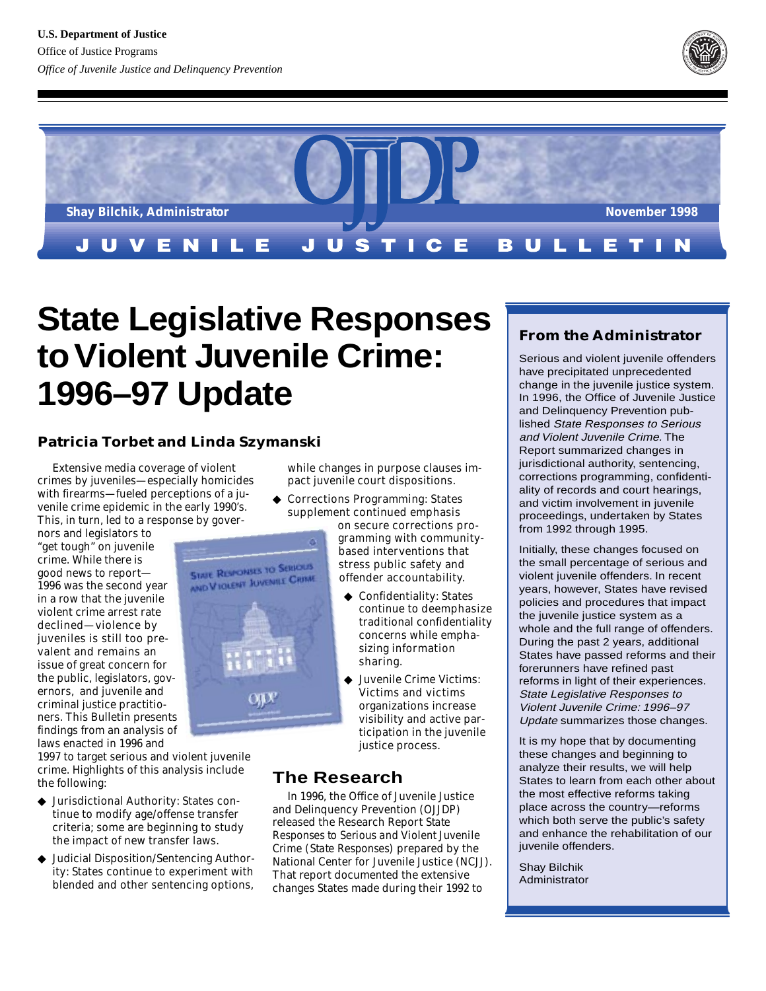



# **State Legislative Responses to Violent Juvenile Crime: 1996–97 Update**

# **Patricia Torbet and Linda Szymanski**

Extensive media coverage of violent crimes by juveniles—especially homicides with firearms—fueled perceptions of a juvenile crime epidemic in the early 1990's. This, in turn, led to a response by gover-

nors and legislators to "get tough" on juvenile crime. While there is good news to report— 1996 was the second year in a row that the juvenile violent crime arrest rate declined—violence by juveniles is still too prevalent and remains an issue of great concern for the public, legislators, governors, and juvenile and criminal justice practitioners. This Bulletin presents findings from an analysis of laws enacted in 1996 and

1997 to target serious and violent juvenile crime. Highlights of this analysis include the following:

- ◆ Jurisdictional Authority: States continue to modify age/offense transfer criteria; some are beginning to study the impact of new transfer laws.
- ◆ Judicial Disposition/Sentencing Authority: States continue to experiment with blended and other sentencing options,

while changes in purpose clauses impact juvenile court dispositions.

◆ Corrections Programming: States supplement continued emphasis

on secure corrections programming with communitybased interventions that stress public safety and offender accountability.

- ◆ Confidentiality: States continue to deemphasize traditional confidentiality concerns while emphasizing information sharing.
- Juvenile Crime Victims: Victims and victims organizations increase visibility and active participation in the juvenile justice process.

# **The Research**

In 1996, the Office of Juvenile Justice and Delinquency Prevention (OJJDP) released the Research Report *State Responses to Serious and Violent Juvenile Crime (State Responses)* prepared by the National Center for Juvenile Justice (NCJJ). That report documented the extensive changes States made during their 1992 to

# **From the Administrator**

Serious and violent juvenile offenders have precipitated unprecedented change in the juvenile justice system. In 1996, the Office of Juvenile Justice and Delinquency Prevention published State Responses to Serious and Violent Juvenile Crime. The Report summarized changes in jurisdictional authority, sentencing, corrections programming, confidentiality of records and court hearings, and victim involvement in juvenile proceedings, undertaken by States from 1992 through 1995.

Initially, these changes focused on the small percentage of serious and violent juvenile offenders. In recent years, however, States have revised policies and procedures that impact the juvenile justice system as a whole and the full range of offenders. During the past 2 years, additional States have passed reforms and their forerunners have refined past reforms in light of their experiences. State Legislative Responses to Violent Juvenile Crime: 1996–97 Update summarizes those changes.

It is my hope that by documenting these changes and beginning to analyze their results, we will help States to learn from each other about the most effective reforms taking place across the country—reforms which both serve the public's safety and enhance the rehabilitation of our juvenile offenders.

Shay Bilchik Administrator

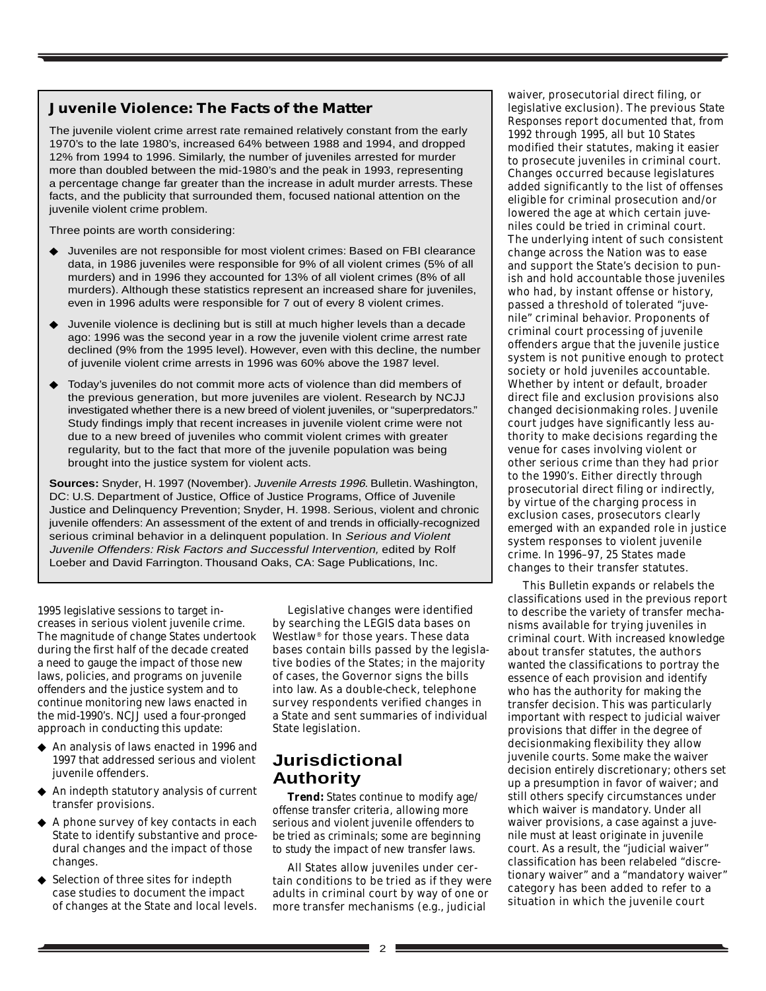## **Juvenile Violence: The Facts of the Matter**

The juvenile violent crime arrest rate remained relatively constant from the early 1970's to the late 1980's, increased 64% between 1988 and 1994, and dropped 12% from 1994 to 1996. Similarly, the number of juveniles arrested for murder more than doubled between the mid-1980's and the peak in 1993, representing a percentage change far greater than the increase in adult murder arrests. These facts, and the publicity that surrounded them, focused national attention on the juvenile violent crime problem.

Three points are worth considering:

- Juveniles are not responsible for most violent crimes: Based on FBI clearance data, in 1986 juveniles were responsible for 9% of all violent crimes (5% of all murders) and in 1996 they accounted for 13% of all violent crimes (8% of all murders). Although these statistics represent an increased share for juveniles, even in 1996 adults were responsible for 7 out of every 8 violent crimes.
- Juvenile violence is declining but is still at much higher levels than a decade ago: 1996 was the second year in a row the juvenile violent crime arrest rate declined (9% from the 1995 level). However, even with this decline, the number of juvenile violent crime arrests in 1996 was 60% above the 1987 level.
- Today's juveniles do not commit more acts of violence than did members of the previous generation, but more juveniles are violent. Research by NCJJ investigated whether there is a new breed of violent juveniles, or "superpredators." Study findings imply that recent increases in juvenile violent crime were not due to a new breed of juveniles who commit violent crimes with greater regularity, but to the fact that more of the juvenile population was being brought into the justice system for violent acts.

**Sources:** Snyder, H. 1997 (November). Juvenile Arrests 1996. Bulletin. Washington, DC: U.S. Department of Justice, Office of Justice Programs, Office of Juvenile Justice and Delinquency Prevention; Snyder, H. 1998. Serious, violent and chronic juvenile offenders: An assessment of the extent of and trends in officially-recognized serious criminal behavior in a delinguent population. In Serious and Violent Juvenile Offenders: Risk Factors and Successful Intervention, edited by Rolf Loeber and David Farrington. Thousand Oaks, CA: Sage Publications, Inc.

1995 legislative sessions to target increases in serious violent juvenile crime. The magnitude of change States undertook during the first half of the decade created a need to gauge the impact of those new laws, policies, and programs on juvenile offenders and the justice system and to continue monitoring new laws enacted in the mid-1990's. NCJJ used a four-pronged approach in conducting this update:

- ◆ An analysis of laws enacted in 1996 and 1997 that addressed serious and violent juvenile offenders.
- ◆ An indepth statutory analysis of current transfer provisions.
- ◆ A phone survey of key contacts in each State to identify substantive and procedural changes and the impact of those changes.
- ◆ Selection of three sites for indepth case studies to document the impact of changes at the State and local levels.

Legislative changes were identified by searching the LEGIS data bases on Westlaw® for those years. These data bases contain bills passed by the legislative bodies of the States; in the majority of cases, the Governor signs the bills into law. As a double-check, telephone survey respondents verified changes in a State and sent summaries of individual State legislation.

# **Jurisdictional Authority**

*Trend: States continue to modify age/ offense transfer criteria, allowing more serious and violent juvenile offenders to be tried as criminals; some are beginning to study the impact of new transfer laws.*

All States allow juveniles under certain conditions to be tried as if they were adults in criminal court by way of one or more transfer mechanisms (e.g., judicial

waiver, prosecutorial direct filing, or legislative exclusion). The previous *State Responses* report documented that, from 1992 through 1995, all but 10 States modified their statutes, making it easier to prosecute juveniles in criminal court. Changes occurred because legislatures added significantly to the list of offenses eligible for criminal prosecution and/or lowered the age at which certain juveniles could be tried in criminal court. The underlying intent of such consistent change across the Nation was to ease and support the State's decision to punish and hold accountable those juveniles who had, by instant offense or history, passed a threshold of tolerated "juvenile" criminal behavior. Proponents of criminal court processing of juvenile offenders argue that the juvenile justice system is not punitive enough to protect society or hold juveniles accountable. Whether by intent or default, broader direct file and exclusion provisions also changed decisionmaking roles. Juvenile court judges have significantly less authority to make decisions regarding the venue for cases involving violent or other serious crime than they had prior to the 1990's. Either directly through prosecutorial direct filing or indirectly, by virtue of the charging process in exclusion cases, prosecutors clearly emerged with an expanded role in justice system responses to violent juvenile crime. In 1996–97, 25 States made changes to their transfer statutes.

This Bulletin expands or relabels the classifications used in the previous report to describe the variety of transfer mechanisms available for trying juveniles in criminal court. With increased knowledge about transfer statutes, the authors wanted the classifications to portray the essence of each provision and identify who has the authority for making the transfer decision. This was particularly important with respect to judicial waiver provisions that differ in the degree of decisionmaking flexibility they allow juvenile courts. Some make the waiver decision entirely discretionary; others set up a presumption in favor of waiver; and still others specify circumstances under which waiver is mandatory. Under all waiver provisions, a case against a juvenile must at least originate in juvenile court. As a result, the "judicial waiver" classification has been relabeled "discretionary waiver" and a "mandatory waiver" category has been added to refer to a situation in which the juvenile court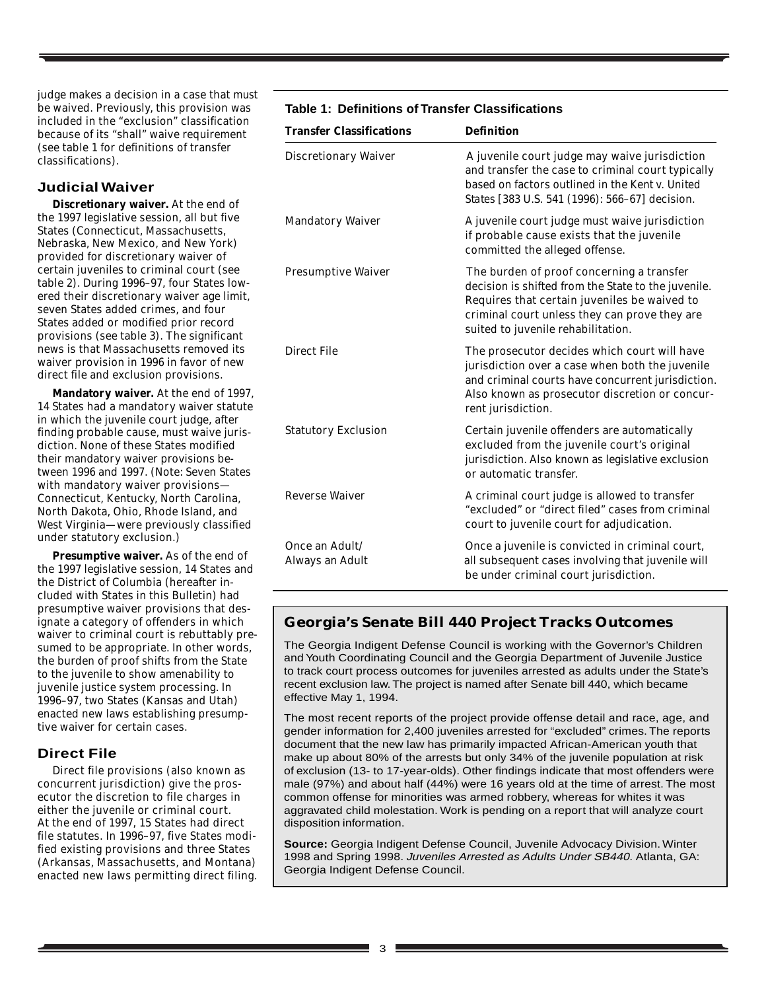judge makes a decision in a case that *must* be waived. Previously, this provision was included in the "exclusion" classification because of its "shall" waive requirement (see table 1 for definitions of transfer classifications).

#### **Judicial Waiver**

**Discretionary waiver.** At the end of the 1997 legislative session, all but five States (Connecticut, Massachusetts, Nebraska, New Mexico, and New York) provided for discretionary waiver of certain juveniles to criminal court (see table 2). During 1996–97, four States lowered their discretionary waiver age limit, seven States added crimes, and four States added or modified prior record provisions (see table 3). The significant news is that Massachusetts removed its waiver provision in 1996 in favor of new direct file and exclusion provisions.

**Mandatory waiver.** At the end of 1997, 14 States had a mandatory waiver statute in which the juvenile court judge, after finding probable cause, must waive jurisdiction. None of these States modified their mandatory waiver provisions between 1996 and 1997. (Note: Seven States with mandatory waiver provisions— Connecticut, Kentucky, North Carolina, North Dakota, Ohio, Rhode Island, and West Virginia—were previously classified under statutory exclusion.)

**Presumptive waiver.** As of the end of the 1997 legislative session, 14 States and the District of Columbia (hereafter included with States in this Bulletin) had presumptive waiver provisions that designate a category of offenders in which waiver to criminal court is rebuttably presumed to be appropriate. In other words, the burden of proof shifts from the State to the juvenile to show amenability to juvenile justice system processing. In 1996–97, two States (Kansas and Utah) enacted new laws establishing presumptive waiver for certain cases.

#### **Direct File**

Direct file provisions (also known as concurrent jurisdiction) give the prosecutor the discretion to file charges in either the juvenile or criminal court. At the end of 1997, 15 States had direct file statutes. In 1996–97, five States modified existing provisions and three States (Arkansas, Massachusetts, and Montana) enacted new laws permitting direct filing.

#### **Table 1: Definitions of Transfer Classifications**

| <b>Transfer Classifications</b>   | <b>Definition</b>                                                                                                                                                                                                                       |
|-----------------------------------|-----------------------------------------------------------------------------------------------------------------------------------------------------------------------------------------------------------------------------------------|
| <b>Discretionary Waiver</b>       | A juvenile court judge may waive jurisdiction<br>and transfer the case to criminal court typically<br>based on factors outlined in the Kent v. United<br>States [383 U.S. 541 (1996): 566-67] decision.                                 |
| <b>Mandatory Waiver</b>           | A juvenile court judge must waive jurisdiction<br>if probable cause exists that the juvenile<br>committed the alleged offense.                                                                                                          |
| <b>Presumptive Waiver</b>         | The burden of proof concerning a transfer<br>decision is shifted from the State to the juvenile.<br>Requires that certain juveniles be waived to<br>criminal court unless they can prove they are<br>suited to juvenile rehabilitation. |
| <b>Direct File</b>                | The prosecutor decides which court will have<br>jurisdiction over a case when both the juvenile<br>and criminal courts have concurrent jurisdiction.<br>Also known as prosecutor discretion or concur-<br>rent jurisdiction.            |
| <b>Statutory Exclusion</b>        | Certain juvenile offenders are automatically<br>excluded from the juvenile court's original<br>jurisdiction. Also known as legislative exclusion<br>or automatic transfer.                                                              |
| <b>Reverse Waiver</b>             | A criminal court judge is allowed to transfer<br>"excluded" or "direct filed" cases from criminal<br>court to juvenile court for adjudication.                                                                                          |
| Once an Adult/<br>Always an Adult | Once a juvenile is convicted in criminal court,<br>all subsequent cases involving that juvenile will<br>be under criminal court jurisdiction.                                                                                           |

#### **Georgia's Senate Bill 440 Project Tracks Outcomes**

The Georgia Indigent Defense Council is working with the Governor's Children and Youth Coordinating Council and the Georgia Department of Juvenile Justice to track court process outcomes for juveniles arrested as adults under the State's recent exclusion law. The project is named after Senate bill 440, which became effective May 1, 1994.

The most recent reports of the project provide offense detail and race, age, and gender information for 2,400 juveniles arrested for "excluded" crimes. The reports document that the new law has primarily impacted African-American youth that make up about 80% of the arrests but only 34% of the juvenile population at risk of exclusion (13- to 17-year-olds). Other findings indicate that most offenders were male (97%) and about half (44%) were 16 years old at the time of arrest. The most common offense for minorities was armed robbery, whereas for whites it was aggravated child molestation. Work is pending on a report that will analyze court disposition information.

**Source:** Georgia Indigent Defense Council, Juvenile Advocacy Division. Winter 1998 and Spring 1998. Juveniles Arrested as Adults Under SB440. Atlanta, GA: Georgia Indigent Defense Council.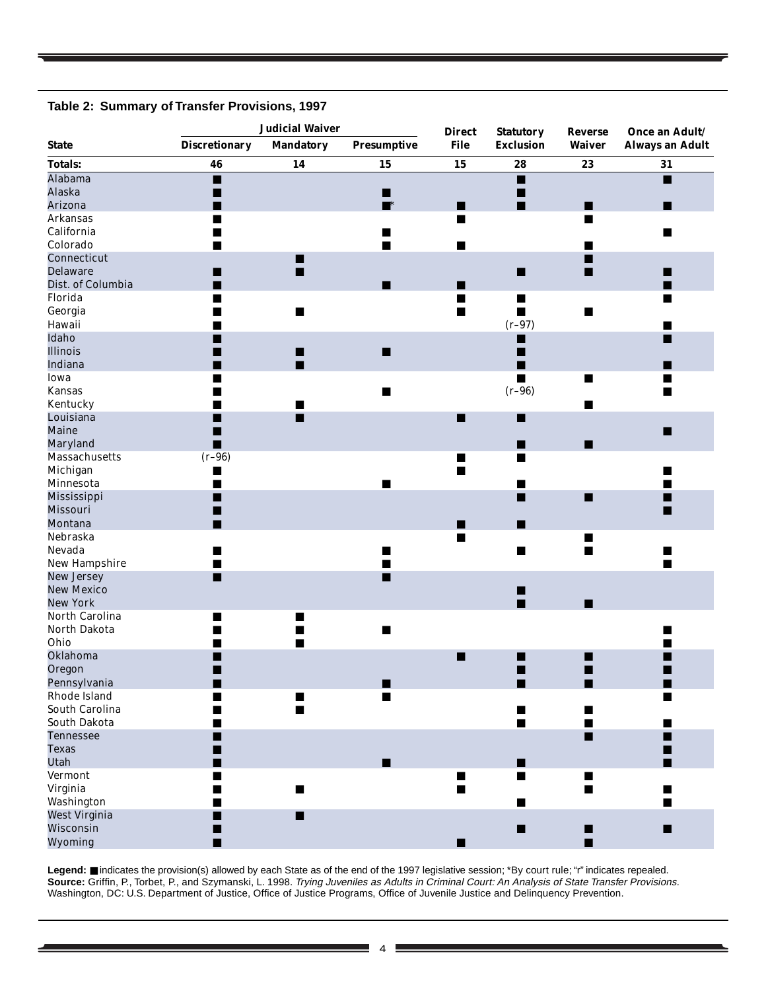#### **Table 2: Summary of Transfer Provisions, 1997**

|                      | <b>Judicial Waiver</b> |                  | <b>Direct</b>      | <b>Statutory</b> | <b>Reverse</b>   | Once an Adult/ |                        |
|----------------------|------------------------|------------------|--------------------|------------------|------------------|----------------|------------------------|
| <b>State</b>         | <b>Discretionary</b>   | <b>Mandatory</b> | <b>Presumptive</b> | <b>File</b>      | <b>Exclusion</b> | <b>Waiver</b>  | <b>Always an Adult</b> |
| <b>Totals:</b>       | 46                     | 14               | 15                 | 15               | 28               | 23             | 31                     |
| Alabama              | ■                      |                  |                    |                  | п                |                | $\blacksquare$         |
| <b>Alaska</b>        | n                      |                  | ■                  |                  | ■                |                |                        |
| Arizona              |                        |                  | $\blacksquare^*$   | ■                | п                | ■              | ■                      |
| <b>Arkansas</b>      |                        |                  |                    | п                |                  | п              |                        |
| California           |                        |                  | ш                  |                  |                  |                | ■                      |
| Colorado             |                        |                  |                    |                  |                  | ٠              |                        |
| Connecticut          |                        | ■                |                    |                  |                  | П              |                        |
| <b>Delaware</b>      |                        | ■                |                    |                  | ■                | ■              | ■                      |
| Dist. of Columbia    | ٠                      |                  | ■                  | ■                |                  |                | ■                      |
| Florida              | ■                      |                  |                    | П                | $\blacksquare$   |                | ■                      |
| Georgia              |                        | $\blacksquare$   |                    | $\blacksquare$   | п                | $\blacksquare$ |                        |
| Hawaii               |                        |                  |                    |                  | $(r-97)$         |                | ш                      |
| Idaho                |                        |                  |                    |                  | ■                |                | ■                      |
| <b>Illinois</b>      |                        | ∎                | п                  |                  | ■                |                |                        |
| Indiana              |                        | П                |                    |                  | ■                |                | ٠                      |
| Iowa                 | ■                      |                  |                    |                  | $\blacksquare$   | $\blacksquare$ | ■                      |
| <b>Kansas</b>        |                        |                  | п                  |                  | $(r-96)$         |                |                        |
| Kentucky             |                        |                  |                    |                  |                  | $\blacksquare$ |                        |
| Louisiana            |                        | ■                |                    | ■                | П                |                |                        |
| Maine                | ٠                      |                  |                    |                  |                  |                | $\blacksquare$         |
| Maryland             | ■                      |                  |                    |                  | ш                | ■              |                        |
| <b>Massachusetts</b> | $(r-96)$               |                  |                    | ■                | $\blacksquare$   |                |                        |
| Michigan             | ш                      |                  |                    | п                |                  |                |                        |
| Minnesota            | п                      |                  | ■                  |                  | ш                |                | ■                      |
| Mississippi          | ■                      |                  |                    |                  | ■                | ■              | ٠                      |
| <b>Missouri</b>      | ٠                      |                  |                    |                  |                  |                | ■                      |
| Montana              |                        |                  |                    | ٠                | ■                |                |                        |
| Nebraska             |                        |                  |                    | п                |                  | ■              |                        |
| Nevada               |                        |                  |                    |                  | п                | $\blacksquare$ | ■                      |
| <b>New Hampshire</b> | ▄                      |                  | ٠                  |                  |                  |                |                        |
| <b>New Jersey</b>    | ■                      |                  | ▅                  |                  |                  |                |                        |
| <b>New Mexico</b>    |                        |                  |                    |                  |                  |                |                        |
| <b>New York</b>      |                        |                  |                    |                  | ■<br>п           |                |                        |
| North Carolina       |                        |                  |                    |                  |                  | ■              |                        |
|                      | ■                      |                  |                    |                  |                  |                |                        |
| North Dakota         |                        |                  | $\blacksquare$     |                  |                  |                | ٠                      |
| Ohio                 |                        | $\blacksquare$   |                    |                  |                  |                |                        |
| Oklahoma             |                        |                  |                    | ■                |                  | ■              |                        |
| Oregon               |                        |                  |                    |                  | ■                | ■              |                        |
| Pennsylvania         |                        |                  |                    |                  |                  |                |                        |
| Rhode Island         |                        | ■                | п                  |                  |                  |                |                        |
| South Carolina       | ٠                      | п                |                    |                  | п                | ■              |                        |
| South Dakota         |                        |                  |                    |                  | ш                | ■              | ■                      |
| <b>Tennessee</b>     |                        |                  |                    |                  |                  | ■              | ٠                      |
| <b>Texas</b>         |                        |                  |                    |                  |                  |                | ٠                      |
| <b>Utah</b>          |                        |                  | п                  |                  | ■                |                | ■                      |
| <b>Vermont</b>       | $\blacksquare$         |                  |                    | $\blacksquare$   | п                | $\blacksquare$ |                        |
| Virginia             |                        | ■                |                    | ■                |                  | ■              |                        |
| Washington           |                        |                  |                    |                  |                  |                | $\blacksquare$         |
| <b>West Virginia</b> |                        | ■                |                    |                  |                  |                |                        |
| Wisconsin            | ٠                      |                  |                    |                  | п                | П              | $\blacksquare$         |
| <b>Wyoming</b>       | ■                      |                  |                    |                  |                  | п              |                        |

Legend: ■ indicates the provision(s) allowed by each State as of the end of the 1997 legislative session; \*By court rule; "r" indicates repealed. **Source:** Griffin, P., Torbet, P., and Szymanski, L. 1998. Trying Juveniles as Adults in Criminal Court: An Analysis of State Transfer Provisions. Washington, DC: U.S. Department of Justice, Office of Justice Programs, Office of Juvenile Justice and Delinquency Prevention.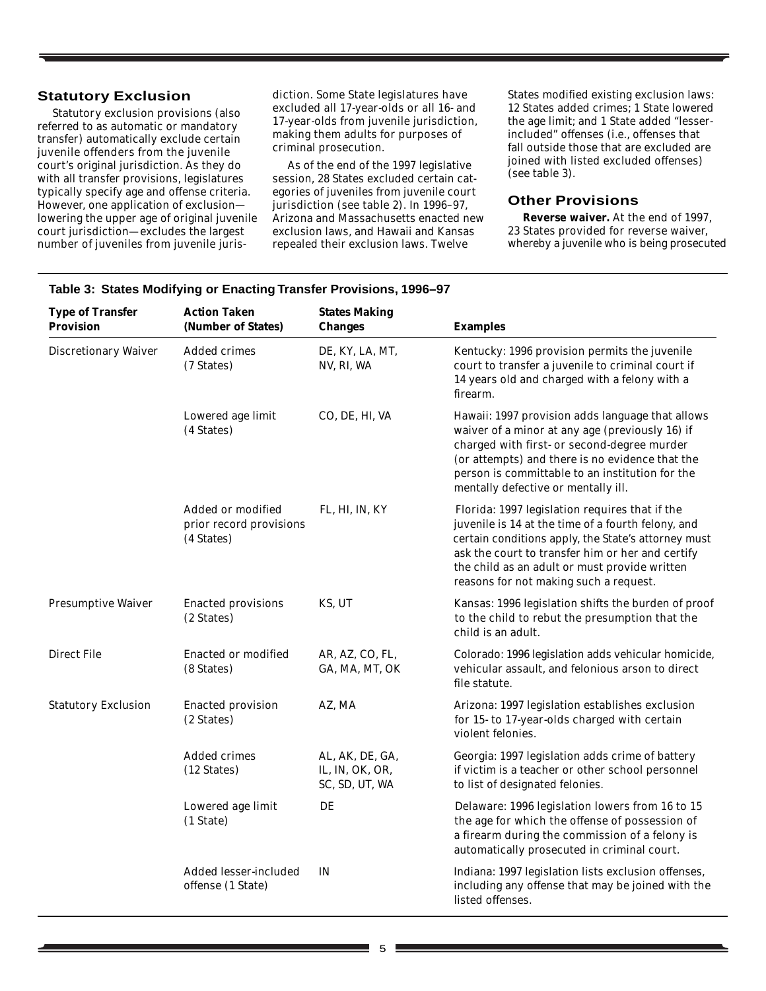#### **Statutory Exclusion**

Statutory exclusion provisions (also referred to as automatic or mandatory transfer) automatically exclude certain juvenile offenders from the juvenile court's original jurisdiction. As they do with all transfer provisions, legislatures typically specify age and offense criteria. However, one application of exclusion lowering the upper age of original juvenile court jurisdiction—excludes the largest number of juveniles from juvenile juris-

diction. Some State legislatures have excluded all 17-year-olds or all 16- and 17-year-olds from juvenile jurisdiction, making them adults for purposes of criminal prosecution.

As of the end of the 1997 legislative session, 28 States excluded certain categories of juveniles from juvenile court jurisdiction (see table 2). In 1996–97, Arizona and Massachusetts enacted new exclusion laws, and Hawaii and Kansas repealed their exclusion laws. Twelve

States modified existing exclusion laws: 12 States added crimes; 1 State lowered the age limit; and 1 State added "lesserincluded" offenses (i.e., offenses that fall outside those that are excluded are joined with listed excluded offenses) (see table 3).

#### **Other Provisions**

**Reverse waiver.** At the end of 1997, 23 States provided for reverse waiver, whereby a juvenile who is being prosecuted

| <b>Type of Transfer</b><br><b>Provision</b> | <b>Action Taken</b><br>(Number of States)                  | <b>States Making</b><br><b>Changes</b>               | <b>Examples</b>                                                                                                                                                                                                                                                                                            |
|---------------------------------------------|------------------------------------------------------------|------------------------------------------------------|------------------------------------------------------------------------------------------------------------------------------------------------------------------------------------------------------------------------------------------------------------------------------------------------------------|
| <b>Discretionary Waiver</b>                 | Added crimes<br>(7 States)                                 | DE, KY, LA, MT,<br>NV, RI, WA                        | Kentucky: 1996 provision permits the juvenile<br>court to transfer a juvenile to criminal court if<br>14 years old and charged with a felony with a<br>firearm.                                                                                                                                            |
|                                             | Lowered age limit<br>(4 States)                            | CO, DE, HI, VA                                       | Hawaii: 1997 provision adds language that allows<br>waiver of a minor at any age (previously 16) if<br>charged with first- or second-degree murder<br>(or attempts) and there is no evidence that the<br>person is committable to an institution for the<br>mentally defective or mentally ill.            |
|                                             | Added or modified<br>prior record provisions<br>(4 States) | FL, HI, IN, KY                                       | Florida: 1997 legislation requires that if the<br>juvenile is 14 at the time of a fourth felony, and<br>certain conditions apply, the State's attorney must<br>ask the court to transfer him or her and certify<br>the child as an adult or must provide written<br>reasons for not making such a request. |
| <b>Presumptive Waiver</b>                   | <b>Enacted provisions</b><br>(2 States)                    | KS, UT                                               | Kansas: 1996 legislation shifts the burden of proof<br>to the child to rebut the presumption that the<br>child is an adult.                                                                                                                                                                                |
| <b>Direct File</b>                          | <b>Enacted or modified</b><br>(8 States)                   | AR, AZ, CO, FL,<br>GA, MA, MT, OK                    | Colorado: 1996 legislation adds vehicular homicide,<br>vehicular assault, and felonious arson to direct<br>file statute.                                                                                                                                                                                   |
| <b>Statutory Exclusion</b>                  | <b>Enacted provision</b><br>(2 States)                     | AZ, MA                                               | Arizona: 1997 legislation establishes exclusion<br>for 15- to 17-year-olds charged with certain<br>violent felonies.                                                                                                                                                                                       |
|                                             | <b>Added crimes</b><br>(12 States)                         | AL, AK, DE, GA,<br>IL, IN, OK, OR,<br>SC, SD, UT, WA | Georgia: 1997 legislation adds crime of battery<br>if victim is a teacher or other school personnel<br>to list of designated felonies.                                                                                                                                                                     |
|                                             | Lowered age limit<br>(1 State)                             | DE                                                   | Delaware: 1996 legislation lowers from 16 to 15<br>the age for which the offense of possession of<br>a firearm during the commission of a felony is<br>automatically prosecuted in criminal court.                                                                                                         |
|                                             | Added lesser-included<br>offense (1 State)                 | $\mathbb{N}$                                         | Indiana: 1997 legislation lists exclusion offenses,<br>including any offense that may be joined with the<br>listed offenses.                                                                                                                                                                               |

#### **Table 3: States Modifying or Enacting Transfer Provisions, 1996–97**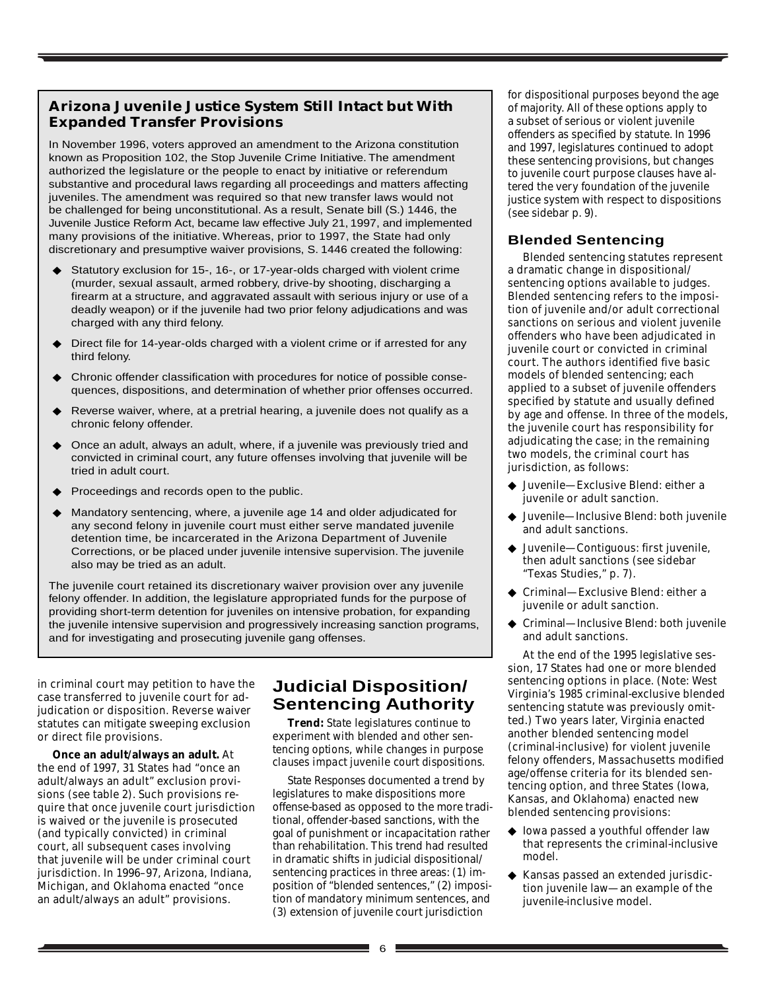# **Arizona Juvenile Justice System Still Intact but With Expanded Transfer Provisions**

In November 1996, voters approved an amendment to the Arizona constitution known as Proposition 102, the Stop Juvenile Crime Initiative. The amendment authorized the legislature or the people to enact by initiative or referendum substantive and procedural laws regarding all proceedings and matters affecting juveniles. The amendment was required so that new transfer laws would not be challenged for being unconstitutional. As a result, Senate bill (S.) 1446, the Juvenile Justice Reform Act, became law effective July 21, 1997, and implemented many provisions of the initiative. Whereas, prior to 1997, the State had only discretionary and presumptive waiver provisions, S. 1446 created the following:

- Statutory exclusion for 15-, 16-, or 17-year-olds charged with violent crime (murder, sexual assault, armed robbery, drive-by shooting, discharging a firearm at a structure, and aggravated assault with serious injury or use of a deadly weapon) or if the juvenile had two prior felony adjudications and was charged with any third felony.
- Direct file for 14-year-olds charged with a violent crime or if arrested for any third felony.
- ◆ Chronic offender classification with procedures for notice of possible consequences, dispositions, and determination of whether prior offenses occurred.
- ◆ Reverse waiver, where, at a pretrial hearing, a juvenile does not qualify as a chronic felony offender.
- Once an adult, always an adult, where, if a juvenile was previously tried and convicted in criminal court, any future offenses involving that juvenile will be tried in adult court.
- Proceedings and records open to the public.
- Mandatory sentencing, where, a juvenile age 14 and older adjudicated for any second felony in juvenile court must either serve mandated juvenile detention time, be incarcerated in the Arizona Department of Juvenile Corrections, or be placed under juvenile intensive supervision. The juvenile also may be tried as an adult.

The juvenile court retained its discretionary waiver provision over any juvenile felony offender. In addition, the legislature appropriated funds for the purpose of providing short-term detention for juveniles on intensive probation, for expanding the juvenile intensive supervision and progressively increasing sanction programs, and for investigating and prosecuting juvenile gang offenses.

in criminal court may petition to have the case transferred to juvenile court for adjudication or disposition. Reverse waiver statutes can mitigate sweeping exclusion or direct file provisions.

**Once an adult/always an adult.** At the end of 1997, 31 States had "once an adult/always an adult" exclusion provisions (see table 2). Such provisions require that once juvenile court jurisdiction is waived or the juvenile is prosecuted (and typically convicted) in criminal court, all subsequent cases involving that juvenile will be under criminal court jurisdiction. In 1996–97, Arizona, Indiana, Michigan, and Oklahoma enacted "once an adult/always an adult" provisions.

# **Judicial Disposition/ Sentencing Authority**

*Trend: State legislatures continue to experiment with blended and other sentencing options, while changes in purpose clauses impact juvenile court dispositions.*

*State Responses* documented a trend by legislatures to make dispositions more offense-based as opposed to the more traditional, offender-based sanctions, with the goal of punishment or incapacitation rather than rehabilitation. This trend had resulted in dramatic shifts in judicial dispositional/ sentencing practices in three areas: (1) imposition of "blended sentences," (2) imposition of mandatory minimum sentences, and (3) extension of juvenile court jurisdiction

for dispositional purposes beyond the age of majority. All of these options apply to a subset of serious or violent juvenile offenders as specified by statute. In 1996 and 1997, legislatures continued to adopt these sentencing provisions, but changes to juvenile court purpose clauses have altered the very foundation of the juvenile justice system with respect to dispositions (see sidebar p. 9).

# **Blended Sentencing**

Blended sentencing statutes represent a dramatic change in dispositional/ sentencing options available to judges. Blended sentencing refers to the imposition of juvenile and/or adult correctional sanctions on serious and violent juvenile offenders who have been adjudicated in juvenile court or convicted in criminal court. The authors identified five basic models of blended sentencing; each applied to a subset of juvenile offenders specified by statute and usually defined by age and offense. In three of the models, the juvenile court has responsibility for adjudicating the case; in the remaining two models, the criminal court has jurisdiction, as follows:

- ◆ Juvenile—Exclusive Blend: either a juvenile or adult sanction.
- ◆ Juvenile—Inclusive Blend: both juvenile and adult sanctions.
- ◆ Juvenile—Contiguous: first juvenile, then adult sanctions (see sidebar "Texas Studies," p. 7).
- Criminal—Exclusive Blend: either a juvenile or adult sanction.
- Criminal—Inclusive Blend: both juvenile and adult sanctions.

At the end of the 1995 legislative session, 17 States had one or more blended sentencing options in place. (Note: West Virginia's 1985 criminal-exclusive blended sentencing statute was previously omitted.) Two years later, Virginia enacted another blended sentencing model (criminal-inclusive) for violent juvenile felony offenders, Massachusetts modified age/offense criteria for its blended sentencing option, and three States (Iowa, Kansas, and Oklahoma) enacted new blended sentencing provisions:

- ◆ Iowa passed a youthful offender law that represents the criminal-inclusive model.
- ◆ Kansas passed an extended jurisdiction juvenile law—an example of the juvenile-inclusive model.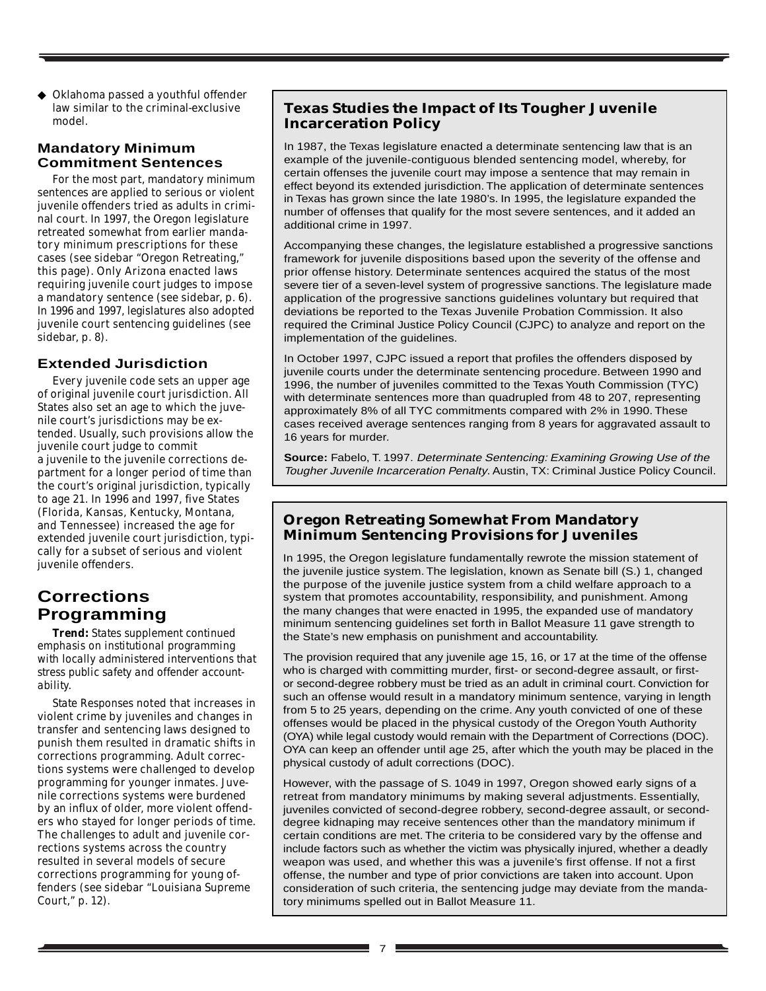◆ Oklahoma passed a youthful offender law similar to the criminal-exclusive model.

### **Mandatory Minimum Commitment Sentences**

For the most part, mandatory minimum sentences are applied to serious or violent juvenile offenders tried as adults in criminal court. In 1997, the Oregon legislature retreated somewhat from earlier mandatory minimum prescriptions for these cases (see sidebar "Oregon Retreating," this page). Only Arizona enacted laws requiring juvenile court judges to impose a mandatory sentence (see sidebar, p. 6). In 1996 and 1997, legislatures also adopted juvenile court sentencing guidelines (see sidebar, p. 8).

# **Extended Jurisdiction**

Every juvenile code sets an upper age of original juvenile court jurisdiction. All States also set an age to which the juvenile court's jurisdictions may be extended. Usually, such provisions allow the juvenile court judge to commit a juvenile to the juvenile corrections department for a longer period of time than the court's original jurisdiction, typically to age 21. In 1996 and 1997, five States (Florida, Kansas, Kentucky, Montana, and Tennessee) increased the age for extended juvenile court jurisdiction, typically for a subset of serious and violent juvenile offenders.

# **Corrections Programming**

*Trend: States supplement continued emphasis on institutional programming with locally administered interventions that stress public safety and offender accountability.*

*State Responses* noted that increases in violent crime by juveniles and changes in transfer and sentencing laws designed to punish them resulted in dramatic shifts in corrections programming. Adult corrections systems were challenged to develop programming for younger inmates. Juvenile corrections systems were burdened by an influx of older, more violent offenders who stayed for longer periods of time. The challenges to adult and juvenile corrections systems across the country resulted in several models of secure corrections programming for young offenders (see sidebar "Louisiana Supreme Court," p. 12).

# **Texas Studies the Impact of Its Tougher Juvenile Incarceration Policy**

In 1987, the Texas legislature enacted a determinate sentencing law that is an example of the juvenile-contiguous blended sentencing model, whereby, for certain offenses the juvenile court may impose a sentence that may remain in effect beyond its extended jurisdiction. The application of determinate sentences in Texas has grown since the late 1980's. In 1995, the legislature expanded the number of offenses that qualify for the most severe sentences, and it added an additional crime in 1997.

Accompanying these changes, the legislature established a progressive sanctions framework for juvenile dispositions based upon the severity of the offense and prior offense history. Determinate sentences acquired the status of the most severe tier of a seven-level system of progressive sanctions. The legislature made application of the progressive sanctions guidelines voluntary but required that deviations be reported to the Texas Juvenile Probation Commission. It also required the Criminal Justice Policy Council (CJPC) to analyze and report on the implementation of the guidelines.

In October 1997, CJPC issued a report that profiles the offenders disposed by juvenile courts under the determinate sentencing procedure. Between 1990 and 1996, the number of juveniles committed to the Texas Youth Commission (TYC) with determinate sentences more than quadrupled from 48 to 207, representing approximately 8% of all TYC commitments compared with 2% in 1990. These cases received average sentences ranging from 8 years for aggravated assault to 16 years for murder.

**Source:** Fabelo, T. 1997. Determinate Sentencing: Examining Growing Use of the Tougher Juvenile Incarceration Penalty. Austin, TX: Criminal Justice Policy Council.

## **Oregon Retreating Somewhat From Mandatory Minimum Sentencing Provisions for Juveniles**

In 1995, the Oregon legislature fundamentally rewrote the mission statement of the juvenile justice system. The legislation, known as Senate bill (S.) 1, changed the purpose of the juvenile justice system from a child welfare approach to a system that promotes accountability, responsibility, and punishment. Among the many changes that were enacted in 1995, the expanded use of mandatory minimum sentencing guidelines set forth in Ballot Measure 11 gave strength to the State's new emphasis on punishment and accountability.

The provision required that any juvenile age 15, 16, or 17 at the time of the offense who is charged with committing murder, first- or second-degree assault, or firstor second-degree robbery must be tried as an adult in criminal court. Conviction for such an offense would result in a mandatory minimum sentence, varying in length from 5 to 25 years, depending on the crime. Any youth convicted of one of these offenses would be placed in the physical custody of the Oregon Youth Authority (OYA) while legal custody would remain with the Department of Corrections (DOC). OYA can keep an offender until age 25, after which the youth may be placed in the physical custody of adult corrections (DOC).

However, with the passage of S. 1049 in 1997, Oregon showed early signs of a retreat from mandatory minimums by making several adjustments. Essentially, juveniles convicted of second-degree robbery, second-degree assault, or seconddegree kidnaping may receive sentences other than the mandatory minimum if certain conditions are met. The criteria to be considered vary by the offense and include factors such as whether the victim was physically injured, whether a deadly weapon was used, and whether this was a juvenile's first offense. If not a first offense, the number and type of prior convictions are taken into account. Upon consideration of such criteria, the sentencing judge may deviate from the mandatory minimums spelled out in Ballot Measure 11.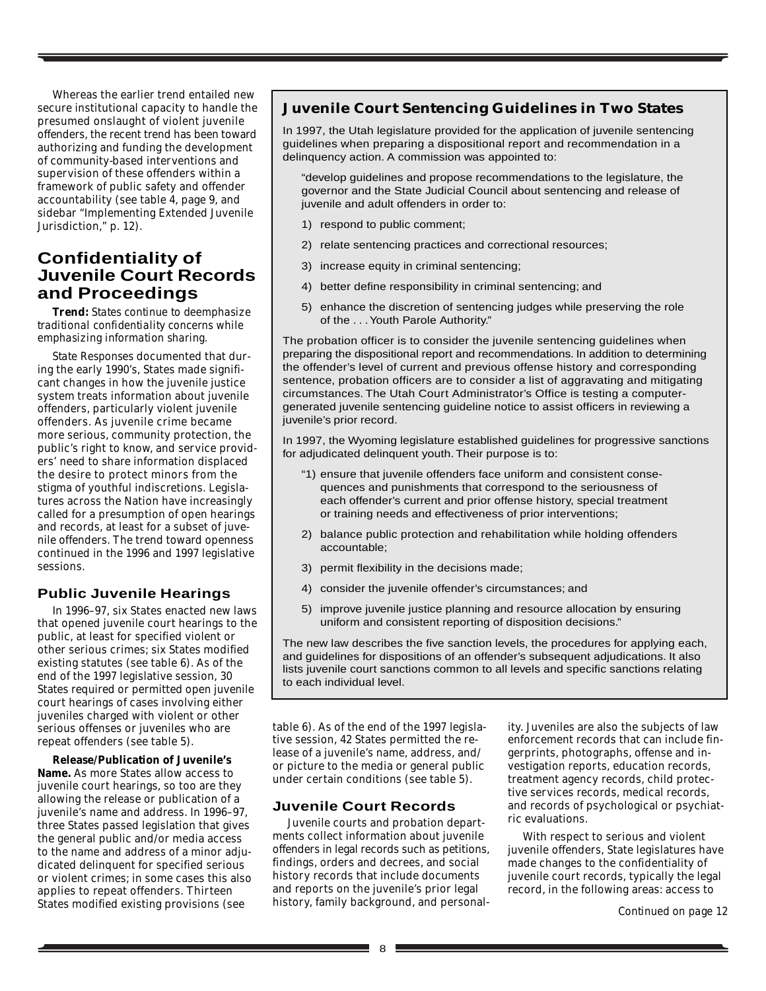Whereas the earlier trend entailed new secure institutional capacity to handle the presumed onslaught of violent juvenile offenders, the recent trend has been toward authorizing and funding the development of community-based interventions and supervision of these offenders within a framework of public safety and offender accountability (see table 4, page 9, and sidebar "Implementing Extended Juvenile Jurisdiction," p. 12).

# **Confidentiality of Juvenile Court Records and Proceedings**

*Trend: States continue to deemphasize traditional confidentiality concerns while emphasizing information sharing.*

*State Responses* documented that during the early 1990's, States made significant changes in how the juvenile justice system treats information about juvenile offenders, particularly violent juvenile offenders. As juvenile crime became more serious, community protection, the public's right to know, and service providers' need to share information displaced the desire to protect minors from the stigma of youthful indiscretions. Legislatures across the Nation have increasingly called for a presumption of open hearings and records, at least for a subset of juvenile offenders. The trend toward openness continued in the 1996 and 1997 legislative sessions.

#### **Public Juvenile Hearings**

In 1996–97, six States enacted new laws that opened juvenile court hearings to the public, at least for specified violent or other serious crimes; six States modified existing statutes (see table 6). As of the end of the 1997 legislative session, 30 States required or permitted open juvenile court hearings of cases involving either juveniles charged with violent or other serious offenses or juveniles who are repeat offenders (see table 5).

**Release/Publication of Juvenile's Name.** As more States allow access to juvenile court hearings, so too are they allowing the release or publication of a juvenile's name and address. In 1996–97, three States passed legislation that gives the general public and/or media access to the name and address of a minor adjudicated delinquent for specified serious or violent crimes; in some cases this also applies to repeat offenders. Thirteen States modified existing provisions (see

#### **Juvenile Court Sentencing Guidelines in Two States**

In 1997, the Utah legislature provided for the application of juvenile sentencing guidelines when preparing a dispositional report and recommendation in a delinquency action. A commission was appointed to:

"develop guidelines and propose recommendations to the legislature, the governor and the State Judicial Council about sentencing and release of juvenile and adult offenders in order to:

- 1) respond to public comment;
- 2) relate sentencing practices and correctional resources;
- 3) increase equity in criminal sentencing;
- 4) better define responsibility in criminal sentencing; and
- 5) enhance the discretion of sentencing judges while preserving the role of the . . . Youth Parole Authority."

The probation officer is to consider the juvenile sentencing guidelines when preparing the dispositional report and recommendations. In addition to determining the offender's level of current and previous offense history and corresponding sentence, probation officers are to consider a list of aggravating and mitigating circumstances. The Utah Court Administrator's Office is testing a computergenerated juvenile sentencing guideline notice to assist officers in reviewing a juvenile's prior record.

In 1997, the Wyoming legislature established guidelines for progressive sanctions for adjudicated delinquent youth. Their purpose is to:

- "1) ensure that juvenile offenders face uniform and consistent consequences and punishments that correspond to the seriousness of each offender's current and prior offense history, special treatment or training needs and effectiveness of prior interventions;
- 2) balance public protection and rehabilitation while holding offenders accountable;
- 3) permit flexibility in the decisions made;
- 4) consider the juvenile offender's circumstances; and
- 5) improve juvenile justice planning and resource allocation by ensuring uniform and consistent reporting of disposition decisions."

The new law describes the five sanction levels, the procedures for applying each, and guidelines for dispositions of an offender's subsequent adjudications. It also lists juvenile court sanctions common to all levels and specific sanctions relating to each individual level.

table 6). As of the end of the 1997 legislative session, 42 States permitted the release of a juvenile's name, address, and/ or picture to the media or general public under certain conditions (see table 5).

#### **Juvenile Court Records**

Juvenile courts and probation departments collect information about juvenile offenders in legal records such as petitions, findings, orders and decrees, and social history records that include documents and reports on the juvenile's prior legal history, family background, and personality. Juveniles are also the subjects of law enforcement records that can include fingerprints, photographs, offense and investigation reports, education records, treatment agency records, child protective services records, medical records, and records of psychological or psychiatric evaluations.

With respect to serious and violent juvenile offenders, State legislatures have made changes to the confidentiality of juvenile court records, typically the legal record, in the following areas: access to

*Continued on page 12*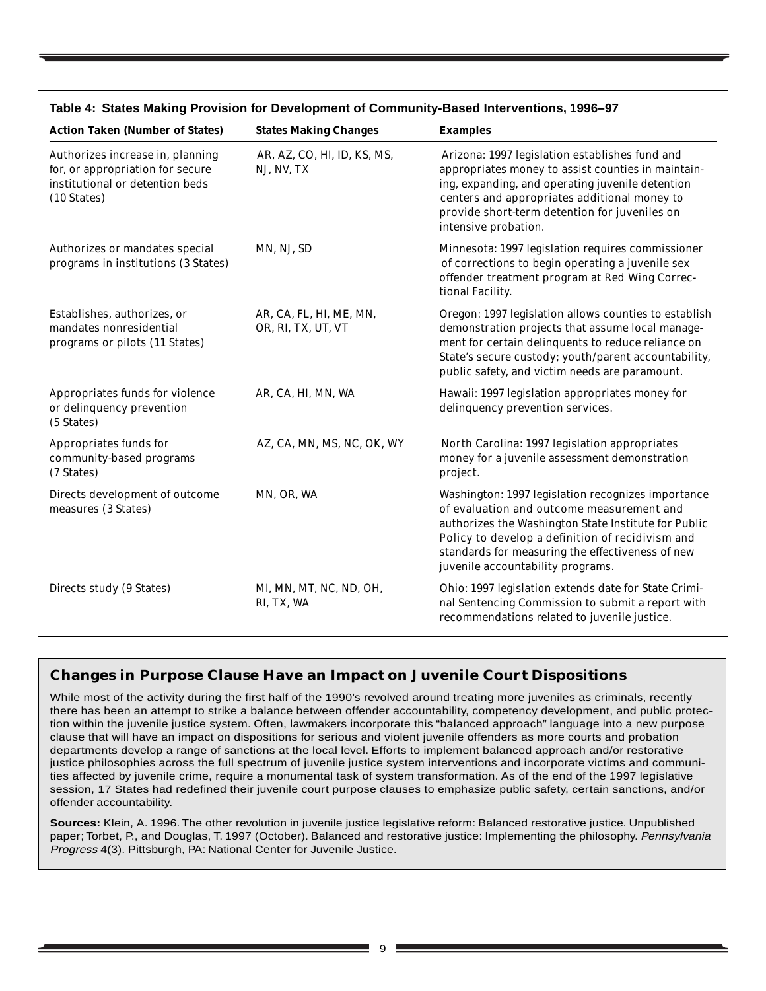| <b>Action Taken (Number of States)</b>                                                                                           | <b>States Making Changes</b>                  | <b>Examples</b>                                                                                                                                                                                                                                                                                      |
|----------------------------------------------------------------------------------------------------------------------------------|-----------------------------------------------|------------------------------------------------------------------------------------------------------------------------------------------------------------------------------------------------------------------------------------------------------------------------------------------------------|
| Authorizes increase in, planning<br>for, or appropriation for secure<br>institutional or detention beds<br>$(10 \text{ States})$ | AR, AZ, CO, HI, ID, KS, MS,<br>NJ, NV, TX     | Arizona: 1997 legislation establishes fund and<br>appropriates money to assist counties in maintain-<br>ing, expanding, and operating juvenile detention<br>centers and appropriates additional money to<br>provide short-term detention for juveniles on<br>intensive probation.                    |
| Authorizes or mandates special<br>programs in institutions (3 States)                                                            | MN, NJ, SD                                    | Minnesota: 1997 legislation requires commissioner<br>of corrections to begin operating a juvenile sex<br>offender treatment program at Red Wing Correc-<br>tional Facility.                                                                                                                          |
| Establishes, authorizes, or<br>mandates nonresidential<br>programs or pilots (11 States)                                         | AR, CA, FL, HI, ME, MN,<br>OR, RI, TX, UT, VT | Oregon: 1997 legislation allows counties to establish<br>demonstration projects that assume local manage-<br>ment for certain delinquents to reduce reliance on<br>State's secure custody; youth/parent accountability,<br>public safety, and victim needs are paramount.                            |
| Appropriates funds for violence<br>or delinquency prevention<br>(5 States)                                                       | AR, CA, HI, MN, WA                            | Hawaii: 1997 legislation appropriates money for<br>delinquency prevention services.                                                                                                                                                                                                                  |
| Appropriates funds for<br>community-based programs<br>(7 States)                                                                 | AZ, CA, MN, MS, NC, OK, WY                    | North Carolina: 1997 legislation appropriates<br>money for a juvenile assessment demonstration<br>project.                                                                                                                                                                                           |
| Directs development of outcome<br>measures (3 States)                                                                            | MN, OR, WA                                    | Washington: 1997 legislation recognizes importance<br>of evaluation and outcome measurement and<br>authorizes the Washington State Institute for Public<br>Policy to develop a definition of recidivism and<br>standards for measuring the effectiveness of new<br>juvenile accountability programs. |
| Directs study (9 States)                                                                                                         | MI, MN, MT, NC, ND, OH,<br>RI, TX, WA         | Ohio: 1997 legislation extends date for State Crimi-<br>nal Sentencing Commission to submit a report with<br>recommendations related to juvenile justice.                                                                                                                                            |

#### **Table 4: States Making Provision for Development of Community-Based Interventions, 1996–97**

# **Changes in Purpose Clause Have an Impact on Juvenile Court Dispositions**

While most of the activity during the first half of the 1990's revolved around treating more juveniles as criminals, recently there has been an attempt to strike a balance between offender accountability, competency development, and public protection within the juvenile justice system. Often, lawmakers incorporate this "balanced approach" language into a new purpose clause that will have an impact on dispositions for serious and violent juvenile offenders as more courts and probation departments develop a range of sanctions at the local level. Efforts to implement balanced approach and/or restorative justice philosophies across the full spectrum of juvenile justice system interventions and incorporate victims and communities affected by juvenile crime, require a monumental task of system transformation. As of the end of the 1997 legislative session, 17 States had redefined their juvenile court purpose clauses to emphasize public safety, certain sanctions, and/or offender accountability.

**Sources:** Klein, A. 1996. The other revolution in juvenile justice legislative reform: Balanced restorative justice. Unpublished paper; Torbet, P., and Douglas, T. 1997 (October). Balanced and restorative justice: Implementing the philosophy. Pennsylvania Progress 4(3). Pittsburgh, PA: National Center for Juvenile Justice.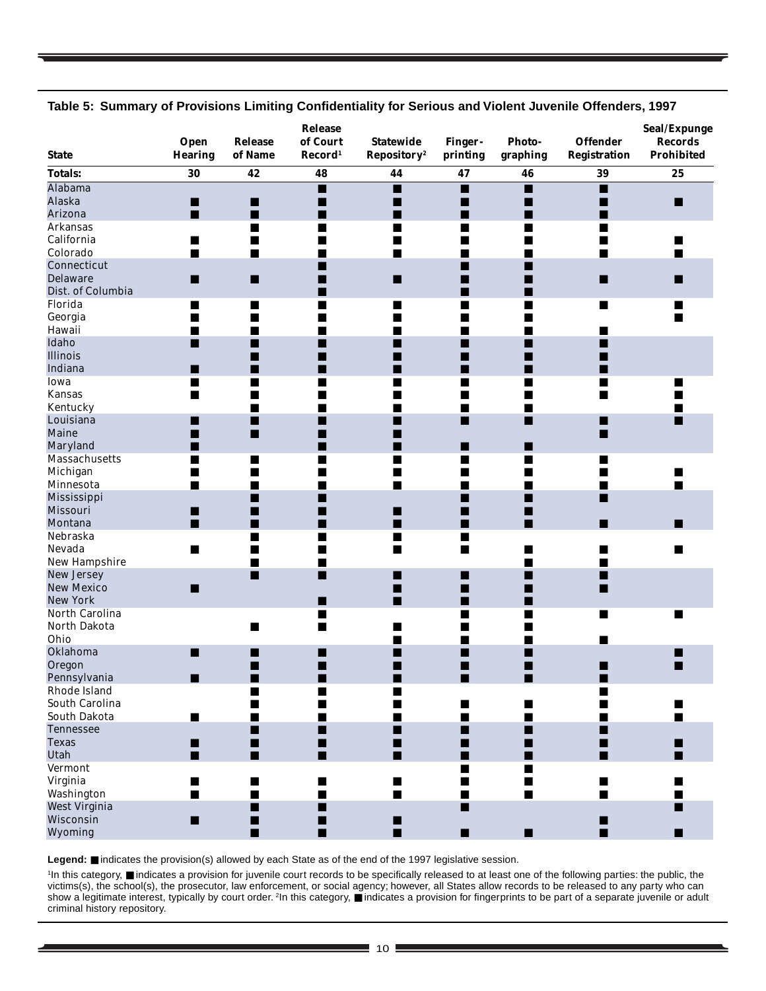| <b>State</b>                 | Open<br><b>Hearing</b> | <b>Release</b><br>of Name | Release<br>of Court<br>$\bf Record1$ | <b>Statewide</b><br>Repository <sup>2</sup> | Finger-<br>printing | <b>Photo-</b><br>graphing | <b>Offender</b><br><b>Registration</b> | Seal/Expunge<br><b>Records</b><br>Prohibited |
|------------------------------|------------------------|---------------------------|--------------------------------------|---------------------------------------------|---------------------|---------------------------|----------------------------------------|----------------------------------------------|
| <b>Totals:</b>               | 30                     | 42                        | 48                                   | 44                                          | 47                  | 46                        | 39                                     | 25                                           |
| <b>Alabama</b>               |                        |                           | ■                                    | П                                           | п                   | п                         | $\blacksquare$                         |                                              |
| Alaska                       | ■                      | П                         | ■                                    | ■                                           | ■                   | ш                         | ■                                      | П                                            |
| Arizona                      | ■                      | ■                         | ■                                    | ■                                           | ■                   | ш                         |                                        |                                              |
| <b>Arkansas</b>              |                        | ■                         |                                      | ■                                           | ■                   | ■                         | ■                                      |                                              |
| California                   | ■                      | ■                         |                                      | ■                                           |                     |                           | ■                                      |                                              |
| Colorado                     | $\blacksquare$         | $\blacksquare$            |                                      | ■                                           | ■                   | ■                         | ■                                      | ■                                            |
| Connecticut                  |                        |                           |                                      |                                             | ٠                   | ■                         |                                        |                                              |
| <b>Delaware</b>              | ■                      | ■                         |                                      | ■                                           | ■                   | ■                         | ∎                                      | ■                                            |
| Dist. of Columbia            |                        |                           |                                      |                                             | ■                   | ш                         |                                        |                                              |
| Florida                      | ■                      | ■                         |                                      | ■                                           | ■                   | ■                         | ■                                      | ш                                            |
| Georgia                      | ■                      | ■                         |                                      | ■                                           |                     | ■                         |                                        |                                              |
| Hawaii                       |                        |                           |                                      |                                             |                     |                           |                                        |                                              |
| Idaho                        | ■                      | ■                         | ш                                    | ■                                           | ■                   | ■                         | ■                                      |                                              |
| Illinois                     |                        |                           |                                      |                                             |                     |                           |                                        |                                              |
| Indiana                      | ■                      | ■                         |                                      | ■                                           | ٠                   |                           |                                        |                                              |
| Iowa                         | ■                      | ■                         |                                      | ■                                           | ■                   | ш                         | ■                                      | ш                                            |
| <b>Kansas</b>                | ■                      | ■                         |                                      | ■                                           | ■                   | ш                         | ■                                      |                                              |
| Kentucky                     |                        | ■                         |                                      | ■                                           | ■                   | ш                         |                                        | ■                                            |
| Louisiana                    | ■                      | П                         |                                      | ■                                           | ■                   | п                         | ■                                      | п                                            |
| Maine                        | ■                      | ■                         |                                      | ■                                           |                     |                           | ∎                                      |                                              |
| Maryland                     | ■                      |                           | ٠                                    | ■                                           | ■                   | ш                         |                                        |                                              |
| <b>Massachusetts</b>         | ■                      | П                         |                                      | ■                                           | ■                   | П                         | ■                                      |                                              |
| Michigan                     | ■                      | ■                         |                                      | ■                                           |                     | ■                         |                                        |                                              |
| Minnesota                    | ■                      | ■                         |                                      | ■                                           |                     | ш                         | ■                                      |                                              |
| Mississippi                  |                        | ш                         |                                      |                                             |                     | ■                         | ■                                      |                                              |
| Missouri                     | ■                      | ■                         |                                      | ■                                           | ٠                   | ■                         |                                        |                                              |
| Montana                      | П                      | ■                         | ■                                    | ■                                           | ■                   | ш                         | ∎                                      | ш                                            |
| Nebraska                     |                        | ■                         | ■                                    | ■                                           | ■                   |                           |                                        |                                              |
| Nevada                       | $\blacksquare$         | ■                         |                                      | ■                                           | $\blacksquare$      | ■                         | ٠                                      | ш                                            |
| New Hampshire                |                        | ■                         |                                      |                                             |                     | ■                         | ■                                      |                                              |
| <b>New Jersey</b>            |                        | п                         | П                                    | ■                                           | ■                   |                           | ■                                      |                                              |
| <b>New Mexico</b>            | ■                      |                           |                                      | ■                                           | ■                   |                           | ■                                      |                                              |
| <b>New York</b>              |                        |                           | ■                                    | П                                           | ■                   |                           |                                        |                                              |
| North Carolina               |                        |                           | $\blacksquare$                       |                                             | ■                   |                           | $\blacksquare$                         | п                                            |
| North Dakota                 |                        |                           | ■                                    |                                             |                     |                           |                                        |                                              |
| Ohio                         |                        |                           |                                      | ٠                                           | ■                   | ■                         | ■                                      |                                              |
| Oklahoma                     | П                      | ■                         |                                      | ■                                           | ■                   | ■                         |                                        |                                              |
| Oregon                       |                        | ■                         | ■                                    | ■                                           | ■                   | ■                         | ■                                      |                                              |
|                              |                        |                           |                                      |                                             |                     |                           |                                        |                                              |
| Pennsylvania<br>Rhode Island | ▅                      | ■                         |                                      | ■                                           |                     |                           |                                        |                                              |
| South Carolina               |                        | $\blacksquare$            |                                      | ■                                           | ■                   | п                         |                                        |                                              |
| South Dakota                 | ■                      | ■                         |                                      | ٠                                           | ٠                   | ■                         |                                        |                                              |
| <b>Tennessee</b>             |                        |                           |                                      |                                             |                     |                           |                                        |                                              |
| <b>Texas</b>                 |                        | ■<br>п                    | ■                                    | ■                                           | ■                   | п                         | ▄                                      |                                              |
|                              | п                      |                           |                                      | ■                                           |                     | ■                         | ■                                      |                                              |
| Utah                         | п                      | п                         | ■                                    | п                                           | ■                   |                           | ■                                      | п                                            |
| <b>Vermont</b>               |                        |                           |                                      |                                             | ■                   | ■                         |                                        |                                              |
| Virginia                     | ■                      | $\blacksquare$            | ■                                    | $\blacksquare$                              | ٠                   | п                         | П                                      |                                              |
| Washington                   | ■                      | п                         | $\blacksquare$                       | $\blacksquare$                              | ■                   | п                         | п                                      | ■                                            |
| West Virginia                |                        | ■                         | ▅                                    |                                             | ■                   |                           |                                        | п                                            |
| Wisconsin                    | п                      | П                         | ■                                    | п                                           |                     |                           | ■                                      |                                              |
| Wyoming                      |                        | п                         | п                                    | $\blacksquare$                              | п                   | П                         | п                                      | ■                                            |

**Table 5: Summary of Provisions Limiting Confidentiality for Serious and Violent Juvenile Offenders, 1997**

**Legend:** ■ indicates the provision(s) allowed by each State as of the end of the 1997 legislative session.

1 In this category, ■ indicates a provision for juvenile court records to be specifically released to at least one of the following parties: the public, the victims(s), the school(s), the prosecutor, law enforcement, or social agency; however, all States allow records to be released to any party who can show a legitimate interest, typically by court order. <sup>2</sup>In this category, ■ indicates a provision for fingerprints to be part of a separate juvenile or adult criminal history repository.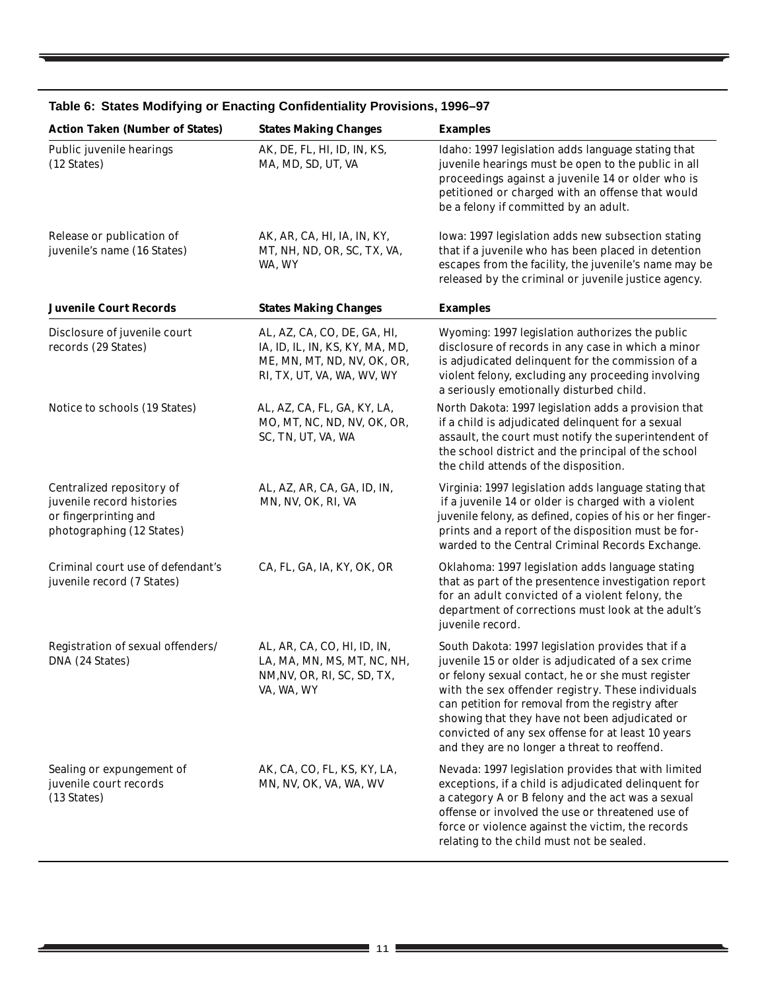| <b>Action Taken (Number of States)</b>                                                                       | <b>States Making Changes</b>                                                                                                | <b>Examples</b>                                                                                                                                                                                                                                                                                                                                                                                                               |
|--------------------------------------------------------------------------------------------------------------|-----------------------------------------------------------------------------------------------------------------------------|-------------------------------------------------------------------------------------------------------------------------------------------------------------------------------------------------------------------------------------------------------------------------------------------------------------------------------------------------------------------------------------------------------------------------------|
| Public juvenile hearings<br>(12 States)                                                                      | AK, DE, FL, HI, ID, IN, KS,<br>MA, MD, SD, UT, VA                                                                           | Idaho: 1997 legislation adds language stating that<br>juvenile hearings must be open to the public in all<br>proceedings against a juvenile 14 or older who is<br>petitioned or charged with an offense that would<br>be a felony if committed by an adult.                                                                                                                                                                   |
| Release or publication of<br>juvenile's name (16 States)                                                     | AK, AR, CA, HI, IA, IN, KY,<br>MT, NH, ND, OR, SC, TX, VA,<br>WA, WY                                                        | Iowa: 1997 legislation adds new subsection stating<br>that if a juvenile who has been placed in detention<br>escapes from the facility, the juvenile's name may be<br>released by the criminal or juvenile justice agency.                                                                                                                                                                                                    |
| <b>Juvenile Court Records</b>                                                                                | <b>States Making Changes</b>                                                                                                | <b>Examples</b>                                                                                                                                                                                                                                                                                                                                                                                                               |
| Disclosure of juvenile court<br>records (29 States)                                                          | AL, AZ, CA, CO, DE, GA, HI,<br>IA, ID, IL, IN, KS, KY, MA, MD,<br>ME, MN, MT, ND, NV, OK, OR,<br>RI, TX, UT, VA, WA, WV, WY | Wyoming: 1997 legislation authorizes the public<br>disclosure of records in any case in which a minor<br>is adjudicated delinquent for the commission of a<br>violent felony, excluding any proceeding involving<br>a seriously emotionally disturbed child.                                                                                                                                                                  |
| Notice to schools (19 States)                                                                                | AL, AZ, CA, FL, GA, KY, LA,<br>MO, MT, NC, ND, NV, OK, OR,<br>SC, TN, UT, VA, WA                                            | North Dakota: 1997 legislation adds a provision that<br>if a child is adjudicated delinquent for a sexual<br>assault, the court must notify the superintendent of<br>the school district and the principal of the school<br>the child attends of the disposition.                                                                                                                                                             |
| Centralized repository of<br>juvenile record histories<br>or fingerprinting and<br>photographing (12 States) | AL, AZ, AR, CA, GA, ID, IN,<br>MN, NV, OK, RI, VA                                                                           | Virginia: 1997 legislation adds language stating that<br>if a juvenile 14 or older is charged with a violent<br>juvenile felony, as defined, copies of his or her finger-<br>prints and a report of the disposition must be for-<br>warded to the Central Criminal Records Exchange.                                                                                                                                          |
| Criminal court use of defendant's<br>juvenile record (7 States)                                              | CA, FL, GA, IA, KY, OK, OR                                                                                                  | Oklahoma: 1997 legislation adds language stating<br>that as part of the presentence investigation report<br>for an adult convicted of a violent felony, the<br>department of corrections must look at the adult's<br>juvenile record.                                                                                                                                                                                         |
| Registration of sexual offenders/<br>DNA (24 States)                                                         | AL, AR, CA, CO, HI, ID, IN,<br>LA, MA, MN, MS, MT, NC, NH,<br>NM, N, OR, RI, SC, SD, TX,<br>VA, WA, WY                      | South Dakota: 1997 legislation provides that if a<br>juvenile 15 or older is adjudicated of a sex crime<br>or felony sexual contact, he or she must register<br>with the sex offender registry. These individuals<br>can petition for removal from the registry after<br>showing that they have not been adjudicated or<br>convicted of any sex offense for at least 10 years<br>and they are no longer a threat to reoffend. |
| Sealing or expungement of<br>juvenile court records<br>(13 States)                                           | AK, CA, CO, FL, KS, KY, LA,<br>MN, NV, OK, VA, WA, WV                                                                       | Nevada: 1997 legislation provides that with limited<br>exceptions, if a child is adjudicated delinquent for<br>a category A or B felony and the act was a sexual<br>offense or involved the use or threatened use of<br>force or violence against the victim, the records<br>relating to the child must not be sealed.                                                                                                        |

# **Table 6: States Modifying or Enacting Confidentiality Provisions, 1996–97**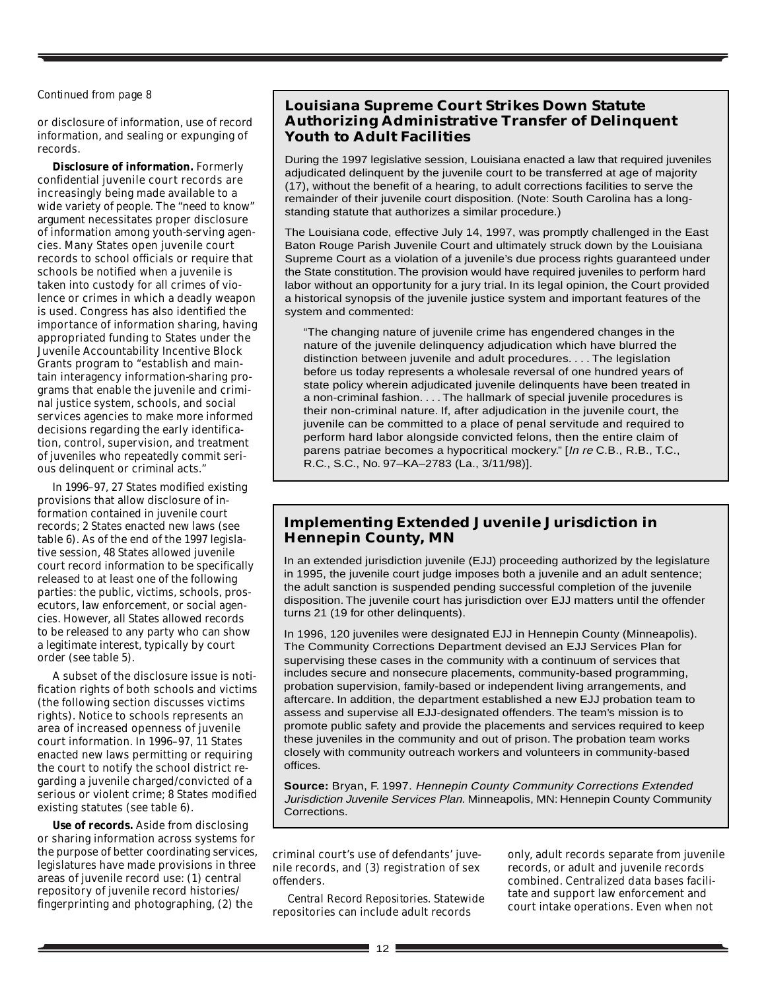#### *Continued from page 8*

or disclosure of information, use of record information, and sealing or expunging of records.

**Disclosure of information.** Formerly confidential juvenile court records are increasingly being made available to a wide variety of people. The "need to know" argument necessitates proper disclosure of information among youth-serving agencies. Many States open juvenile court records to school officials or require that schools be notified when a juvenile is taken into custody for all crimes of violence or crimes in which a deadly weapon is used. Congress has also identified the importance of information sharing, having appropriated funding to States under the Juvenile Accountability Incentive Block Grants program to "establish and maintain interagency information-sharing programs that enable the juvenile and criminal justice system, schools, and social services agencies to make more informed decisions regarding the early identification, control, supervision, and treatment of juveniles who repeatedly commit serious delinquent or criminal acts."

In 1996–97, 27 States modified existing provisions that allow disclosure of information contained in juvenile court records; 2 States enacted new laws (see table 6). As of the end of the 1997 legislative session, 48 States allowed juvenile court record information to be specifically released to at least one of the following parties: the public, victims, schools, prosecutors, law enforcement, or social agencies. However, all States allowed records to be released to any party who can show a legitimate interest, typically by court order (see table 5).

A subset of the disclosure issue is notification rights of both schools and victims (the following section discusses victims rights). Notice to schools represents an area of increased openness of juvenile court information. In 1996–97, 11 States enacted new laws permitting or requiring the court to notify the school district regarding a juvenile charged/convicted of a serious or violent crime; 8 States modified existing statutes (see table 6).

**Use of records.** Aside from disclosing or sharing information across systems for the purpose of better coordinating services, legislatures have made provisions in three areas of juvenile record use: (1) central repository of juvenile record histories/ fingerprinting and photographing, (2) the

## **Louisiana Supreme Court Strikes Down Statute Authorizing Administrative Transfer of Delinquent Youth to Adult Facilities**

During the 1997 legislative session, Louisiana enacted a law that required juveniles adjudicated delinquent by the juvenile court to be transferred at age of majority (17), without the benefit of a hearing, to adult corrections facilities to serve the remainder of their juvenile court disposition. (Note: South Carolina has a longstanding statute that authorizes a similar procedure.)

The Louisiana code, effective July 14, 1997, was promptly challenged in the East Baton Rouge Parish Juvenile Court and ultimately struck down by the Louisiana Supreme Court as a violation of a juvenile's due process rights guaranteed under the State constitution. The provision would have required juveniles to perform hard labor without an opportunity for a jury trial. In its legal opinion, the Court provided a historical synopsis of the juvenile justice system and important features of the system and commented:

"The changing nature of juvenile crime has engendered changes in the nature of the juvenile delinquency adjudication which have blurred the distinction between juvenile and adult procedures. . . . The legislation before us today represents a wholesale reversal of one hundred years of state policy wherein adjudicated juvenile delinquents have been treated in a non-criminal fashion. . . . The hallmark of special juvenile procedures is their non-criminal nature. If, after adjudication in the juvenile court, the juvenile can be committed to a place of penal servitude and required to perform hard labor alongside convicted felons, then the entire claim of parens patriae becomes a hypocritical mockery." [In re C.B., R.B., T.C., R.C., S.C., No. 97–KA–2783 (La., 3/11/98)].

## **Implementing Extended Juvenile Jurisdiction in Hennepin County, MN**

In an extended jurisdiction juvenile (EJJ) proceeding authorized by the legislature in 1995, the juvenile court judge imposes both a juvenile and an adult sentence; the adult sanction is suspended pending successful completion of the juvenile disposition. The juvenile court has jurisdiction over EJJ matters until the offender turns 21 (19 for other delinquents).

In 1996, 120 juveniles were designated EJJ in Hennepin County (Minneapolis). The Community Corrections Department devised an EJJ Services Plan for supervising these cases in the community with a continuum of services that includes secure and nonsecure placements, community-based programming, probation supervision, family-based or independent living arrangements, and aftercare. In addition, the department established a new EJJ probation team to assess and supervise all EJJ-designated offenders. The team's mission is to promote public safety and provide the placements and services required to keep these juveniles in the community and out of prison. The probation team works closely with community outreach workers and volunteers in community-based offices.

**Source:** Bryan, F. 1997. Hennepin County Community Corrections Extended Jurisdiction Juvenile Services Plan. Minneapolis, MN: Hennepin County Community Corrections.

criminal court's use of defendants' juvenile records, and (3) registration of sex offenders.

*Central Record Repositories.* Statewide repositories can include adult records

only, adult records separate from juvenile records, or adult and juvenile records combined. Centralized data bases facilitate and support law enforcement and court intake operations. Even when not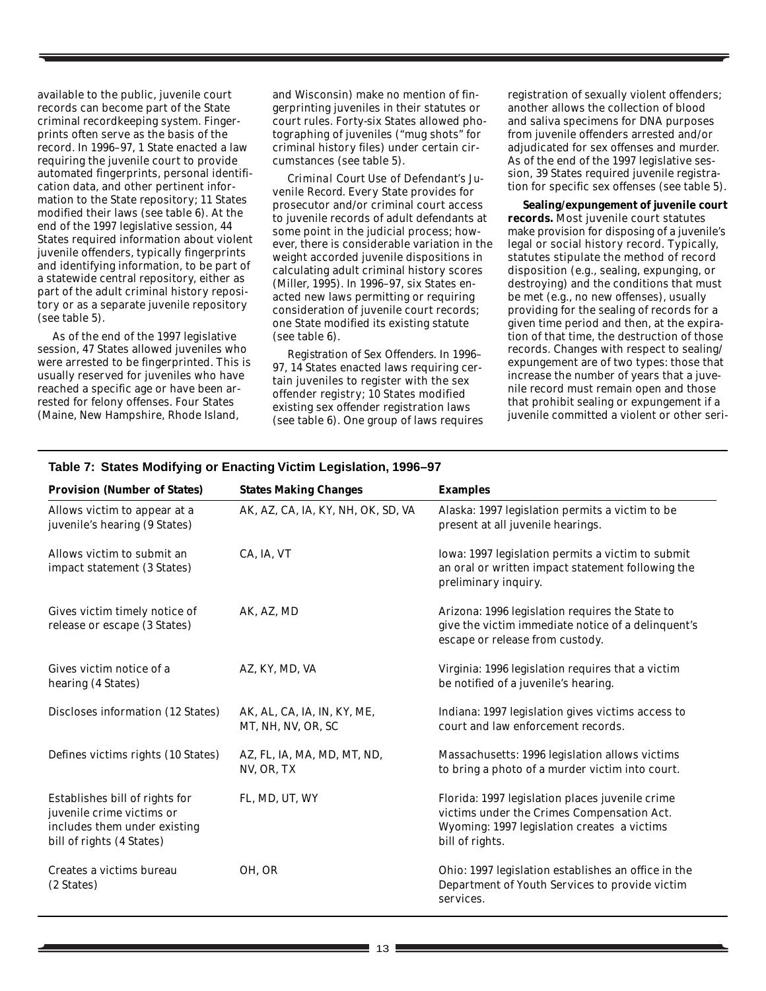available to the public, juvenile court records can become part of the State criminal recordkeeping system. Fingerprints often serve as the basis of the record. In 1996–97, 1 State enacted a law requiring the juvenile court to provide automated fingerprints, personal identification data, and other pertinent information to the State repository; 11 States modified their laws (see table 6). At the end of the 1997 legislative session, 44 States required information about violent juvenile offenders, typically fingerprints and identifying information, to be part of a statewide central repository, either as part of the adult criminal history repository or as a separate juvenile repository (see table 5).

As of the end of the 1997 legislative session, 47 States allowed juveniles who were arrested to be fingerprinted. This is usually reserved for juveniles who have reached a specific age or have been arrested for felony offenses. Four States (Maine, New Hampshire, Rhode Island,

and Wisconsin) make no mention of fingerprinting juveniles in their statutes or court rules. Forty-six States allowed photographing of juveniles ("mug shots" for criminal history files) under certain circumstances (see table 5).

*Criminal Court Use of Defendant's Juvenile Record.* Every State provides for prosecutor and/or criminal court access to juvenile records of adult defendants at some point in the judicial process; however, there is considerable variation in the weight accorded juvenile dispositions in calculating adult criminal history scores (Miller, 1995). In 1996–97, six States enacted new laws permitting or requiring consideration of juvenile court records; one State modified its existing statute (see table 6).

*Registration of Sex Offenders.* In 1996– 97, 14 States enacted laws requiring certain juveniles to register with the sex offender registry; 10 States modified existing sex offender registration laws (see table 6). One group of laws requires registration of sexually violent offenders; another allows the collection of blood and saliva specimens for DNA purposes from juvenile offenders arrested and/or adjudicated for sex offenses and murder. As of the end of the 1997 legislative session, 39 States required juvenile registration for specific sex offenses (see table 5).

**Sealing/expungement of juvenile court records.** Most juvenile court statutes make provision for disposing of a juvenile's legal or social history record. Typically, statutes stipulate the method of record disposition (e.g., sealing, expunging, or destroying) and the conditions that must be met (e.g., no new offenses), usually providing for the sealing of records for a given time period and then, at the expiration of that time, the destruction of those records. Changes with respect to sealing/ expungement are of two types: those that increase the number of years that a juvenile record must remain open and those that prohibit sealing or expungement if a juvenile committed a violent or other seri-

| <b>Provision (Number of States)</b>                                                                                      | <b>States Making Changes</b>                      | <b>Examples</b>                                                                                                                                                 |
|--------------------------------------------------------------------------------------------------------------------------|---------------------------------------------------|-----------------------------------------------------------------------------------------------------------------------------------------------------------------|
| Allows victim to appear at a<br>juvenile's hearing (9 States)                                                            | AK, AZ, CA, IA, KY, NH, OK, SD, VA                | Alaska: 1997 legislation permits a victim to be<br>present at all juvenile hearings.                                                                            |
| Allows victim to submit an<br>impact statement (3 States)                                                                | CA, IA, VT                                        | Iowa: 1997 legislation permits a victim to submit<br>an oral or written impact statement following the<br>preliminary inquiry.                                  |
| Gives victim timely notice of<br>release or escape (3 States)                                                            | AK, AZ, MD                                        | Arizona: 1996 legislation requires the State to<br>give the victim immediate notice of a delinquent's<br>escape or release from custody.                        |
| Gives victim notice of a<br>hearing (4 States)                                                                           | AZ, KY, MD, VA                                    | Virginia: 1996 legislation requires that a victim<br>be notified of a juvenile's hearing.                                                                       |
| Discloses information (12 States)                                                                                        | AK, AL, CA, IA, IN, KY, ME,<br>MT, NH, NV, OR, SC | Indiana: 1997 legislation gives victims access to<br>court and law enforcement records.                                                                         |
| Defines victims rights (10 States)                                                                                       | AZ, FL, IA, MA, MD, MT, ND,<br>NV, OR, TX         | Massachusetts: 1996 legislation allows victims<br>to bring a photo of a murder victim into court.                                                               |
| Establishes bill of rights for<br>juvenile crime victims or<br>includes them under existing<br>bill of rights (4 States) | FL, MD, UT, WY                                    | Florida: 1997 legislation places juvenile crime<br>victims under the Crimes Compensation Act.<br>Wyoming: 1997 legislation creates a victims<br>bill of rights. |
| Creates a victims bureau<br>(2 States)                                                                                   | OH, OR                                            | Ohio: 1997 legislation establishes an office in the<br>Department of Youth Services to provide victim<br>services.                                              |

#### **Table 7: States Modifying or Enacting Victim Legislation, 1996–97**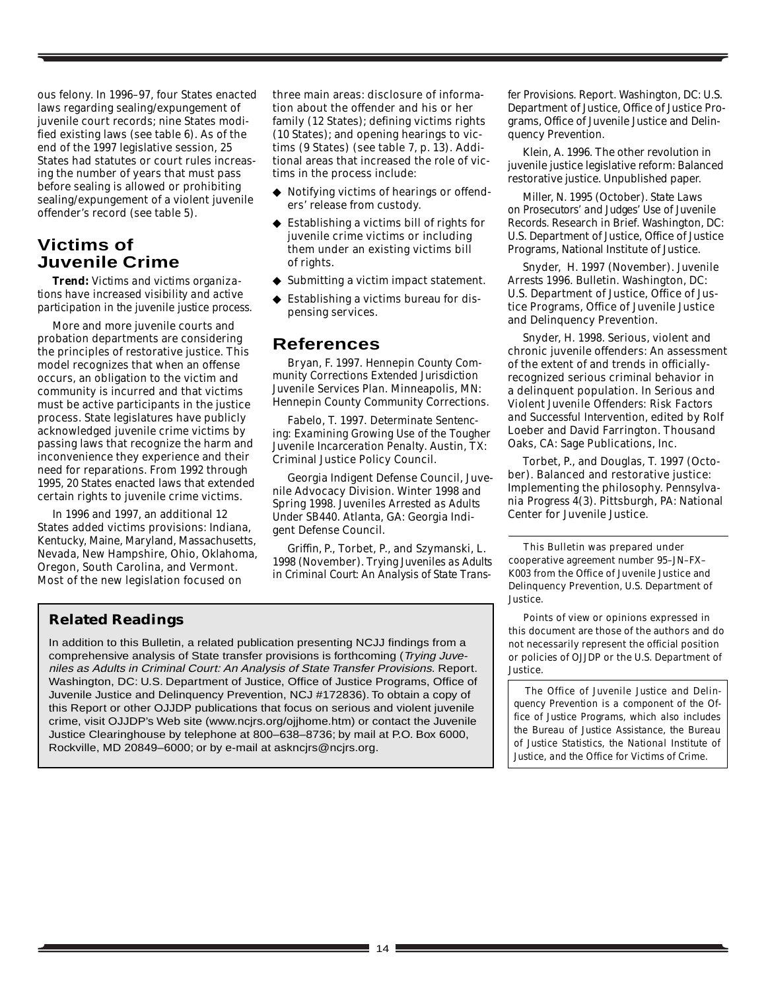ous felony. In 1996–97, four States enacted laws regarding sealing/expungement of juvenile court records; nine States modified existing laws (see table 6). As of the end of the 1997 legislative session, 25 States had statutes or court rules increasing the number of years that must pass before sealing is allowed or prohibiting sealing/expungement of a violent juvenile offender's record (see table 5).

# **Victims of Juvenile Crime**

*Trend: Victims and victims organizations have increased visibility and active participation in the juvenile justice process.*

More and more juvenile courts and probation departments are considering the principles of restorative justice. This model recognizes that when an offense occurs, an obligation to the victim and community is incurred and that victims must be active participants in the justice process. State legislatures have publicly acknowledged juvenile crime victims by passing laws that recognize the harm and inconvenience they experience and their need for reparations. From 1992 through 1995, 20 States enacted laws that extended certain rights to juvenile crime victims.

In 1996 and 1997, an additional 12 States added victims provisions: Indiana, Kentucky, Maine, Maryland, Massachusetts, Nevada, New Hampshire, Ohio, Oklahoma, Oregon, South Carolina, and Vermont. Most of the new legislation focused on

three main areas: disclosure of information about the offender and his or her family (12 States); defining victims rights (10 States); and opening hearings to victims (9 States) (see table 7, p. 13). Additional areas that increased the role of victims in the process include:

- ◆ Notifying victims of hearings or offenders' release from custody.
- ◆ Establishing a victims bill of rights for juvenile crime victims or including them under an existing victims bill of rights.
- ◆ Submitting a victim impact statement.
- ◆ Establishing a victims bureau for dispensing services.

# **References**

Bryan, F. 1997. *Hennepin County Community Corrections Extended Jurisdiction Juvenile Services Plan.* Minneapolis, MN: Hennepin County Community Corrections.

Fabelo, T. 1997. *Determinate Sentencing: Examining Growing Use of the Tougher Juvenile Incarceration Penalty*. Austin, TX: Criminal Justice Policy Council.

Georgia Indigent Defense Council, Juvenile Advocacy Division. Winter 1998 and Spring 1998. *Juveniles Arrested as Adults Under SB440.* Atlanta, GA: Georgia Indigent Defense Council.

Griffin, P., Torbet, P., and Szymanski, L. 1998 (November). *Trying Juveniles as Adults in Criminal Court: An Analysis of State Trans-* *fer Provisions.* Report. Washington, DC: U.S. Department of Justice, Office of Justice Programs, Office of Juvenile Justice and Delinquency Prevention.

Klein, A. 1996. The other revolution in juvenile justice legislative reform: Balanced restorative justice. Unpublished paper.

Miller, N. 1995 (October). *State Laws on Prosecutors' and Judges' Use of Juvenile Records.* Research in Brief. Washington, DC: U.S. Department of Justice, Office of Justice Programs, National Institute of Justice.

Snyder, H. 1997 (November). *Juvenile Arrests 1996*. Bulletin. Washington, DC: U.S. Department of Justice, Office of Justice Programs, Office of Juvenile Justice and Delinquency Prevention.

Snyder, H. 1998. Serious, violent and chronic juvenile offenders: An assessment of the extent of and trends in officiallyrecognized serious criminal behavior in a delinquent population. In *Serious and Violent Juvenile Offenders: Risk Factors and Successful Intervention,* edited by Rolf Loeber and David Farrington. Thousand Oaks, CA: Sage Publications, Inc.

Torbet, P., and Douglas, T. 1997 (October). Balanced and restorative justice: Implementing the philosophy. *Pennsylvania Progress* 4(3). Pittsburgh, PA: National Center for Juvenile Justice.

This Bulletin was prepared under cooperative agreement number 95–JN–FX– K003 from the Office of Juvenile Justice and Delinquency Prevention, U.S. Department of Justice.

Points of view or opinions expressed in this document are those of the authors and do not necessarily represent the official position or policies of OJJDP or the U.S. Department of

**Related Readings**

In addition to this Bulletin, a related publication presenting NCJJ findings from a comprehensive analysis of State transfer provisions is forthcoming (Trying Juveniles as Adults in Criminal Court: An Analysis of State Transfer Provisions. Report. Washington, DC: U.S. Department of Justice, Office of Justice Programs, Office of Juvenile Justice and Delinquency Prevention, NCJ #172836). To obtain a copy of this Report or other OJJDP publications that focus on serious and violent juvenile crime, visit OJJDP's Web site (www.ncjrs.org/ojjhome.htm) or contact the Juvenile Justice Clearinghouse by telephone at 800–638–8736; by mail at P.O. Box 6000, Rockville, MD 20849–6000; or by e-mail at askncjrs@ncjrs.org.

Justice. *The Office of Juvenile Justice and Delinquency Prevention is a component of the Office of Justice Programs, which also includes the Bureau of Justice Assistance, the Bureau of Justice Statistics, the National Institute of*

*Justice, and the Office for Victims of Crime.*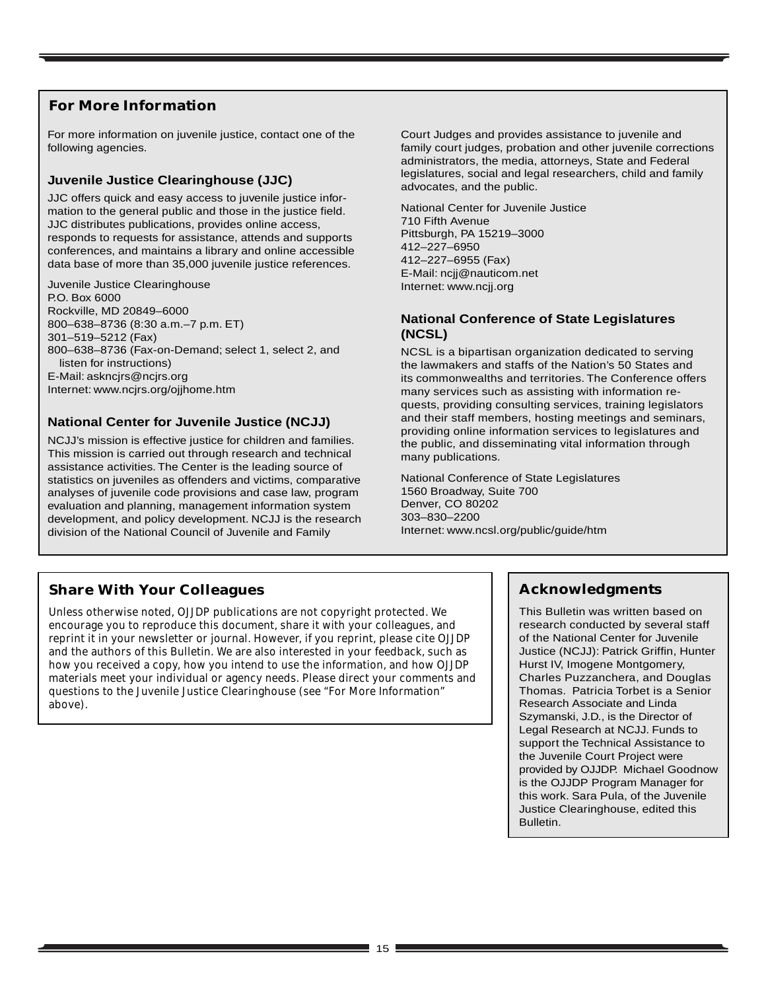# **For More Information**

For more information on juvenile justice, contact one of the following agencies.

#### **Juvenile Justice Clearinghouse (JJC)**

JJC offers quick and easy access to juvenile justice information to the general public and those in the justice field. JJC distributes publications, provides online access, responds to requests for assistance, attends and supports conferences, and maintains a library and online accessible data base of more than 35,000 juvenile justice references.

Juvenile Justice Clearinghouse P.O. Box 6000 Rockville, MD 20849–6000 800–638–8736 (8:30 a.m.–7 p.m. ET) 301–519–5212 (Fax) 800–638–8736 (Fax-on-Demand; select 1, select 2, and listen for instructions) E-Mail: askncjrs@ncjrs.org Internet: www.ncjrs.org/ojjhome.htm

### **National Center for Juvenile Justice (NCJJ)**

NCJJ's mission is effective justice for children and families. This mission is carried out through research and technical assistance activities. The Center is the leading source of statistics on juveniles as offenders and victims, comparative analyses of juvenile code provisions and case law, program evaluation and planning, management information system development, and policy development. NCJJ is the research division of the National Council of Juvenile and Family

Court Judges and provides assistance to juvenile and family court judges, probation and other juvenile corrections administrators, the media, attorneys, State and Federal legislatures, social and legal researchers, child and family advocates, and the public.

National Center for Juvenile Justice 710 Fifth Avenue Pittsburgh, PA 15219–3000 412–227–6950 412–227–6955 (Fax) E-Mail: ncjj@nauticom.net Internet: www.ncjj.org

### **National Conference of State Legislatures (NCSL)**

NCSL is a bipartisan organization dedicated to serving the lawmakers and staffs of the Nation's 50 States and its commonwealths and territories. The Conference offers many services such as assisting with information requests, providing consulting services, training legislators and their staff members, hosting meetings and seminars, providing online information services to legislatures and the public, and disseminating vital information through many publications.

National Conference of State Legislatures 1560 Broadway, Suite 700 Denver, CO 80202 303–830–2200 Internet: www.ncsl.org/public/guide/htm

# **Share With Your Colleagues**

Unless otherwise noted, OJJDP publications are not copyright protected. We encourage you to reproduce this document, share it with your colleagues, and reprint it in your newsletter or journal. However, if you reprint, please cite OJJDP and the authors of this Bulletin. We are also interested in your feedback, such as how you received a copy, how you intend to use the information, and how OJJDP materials meet your individual or agency needs. Please direct your comments and questions to the Juvenile Justice Clearinghouse (see "For More Information" above).

# **Acknowledgments**

This Bulletin was written based on research conducted by several staff of the National Center for Juvenile Justice (NCJJ): Patrick Griffin, Hunter Hurst IV, Imogene Montgomery, Charles Puzzanchera, and Douglas Thomas. Patricia Torbet is a Senior Research Associate and Linda Szymanski, J.D., is the Director of Legal Research at NCJJ. Funds to support the Technical Assistance to the Juvenile Court Project were provided by OJJDP. Michael Goodnow is the OJJDP Program Manager for this work. Sara Pula, of the Juvenile Justice Clearinghouse, edited this Bulletin.